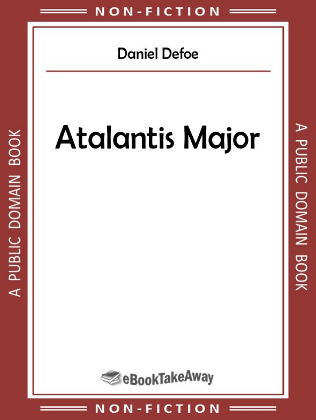# **Daniel Defoe**

# **Atalantis Major**

A PUBLIC DOMAIN BOOK

#### . C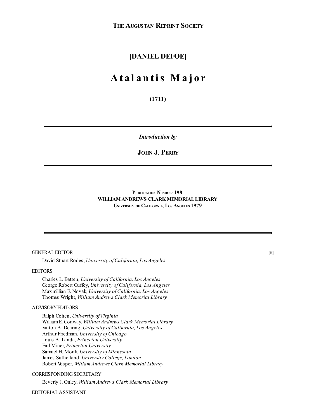#### **[DANIEL DEFOE]**

### **A t a l a n t is M a j o r**

**(1711)**

*Introduction by*

#### **JOHN J. PERRY**

#### **PUBLICATION NUMBER 198 WILLIAMANDREWS CLARKMEMORIALLIBRARY UNIVERSITY OF CALIFORNIA, LOS ANGELES 1979**

#### GENERALEDITOR

David Stuart Rodes, *University of California, Los Angeles*

#### EDITORS

Charles L. Batten, *University of California, Los Angeles* George Robert Guffey, *University of California, Los Angeles* Maximillian E. Novak, *University of California, Los Angeles* Thomas Wright, *William Andrews Clark Memorial Library*

#### ADVISORYEDITORS

Ralph Cohen, *University of Virginia* WilliamE. Conway, *William Andrews Clark Memorial Library* Vinton A. Dearing, *University of California, Los Angeles* Arthur Friedman, *University of Chicago* Louis A. Landa, *Princeton University* Earl Miner, *Princeton University* Samuel H. Monk, *University of Minnesota* James Sutherland, *University College, London* Robert Vosper, *William Andrews Clark Memorial Library*

#### CORRESPONDING SECRETARY

Beverly J. Onley, *William Andrews Clark Memorial Library*

#### EDITORIALASSISTANT

 $[i]$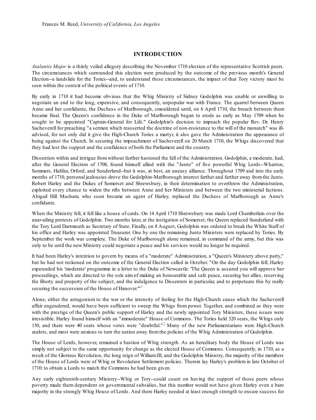#### **INTRODUCTION**

*Atalantis Major* is a thinly veiled allegory describing the November 1710 election of the representative Scottish peers. The circumstances which surrounded this election were produced by the outcome of the previous month's General Election--a landslide for the Tories--and, to understand these circumstances, the impact of that Tory victory must be seen within the context of the political events of 1710.

By early in 1710 it had become obvious that the Whig Ministry of Sidney Godolphin was unable or unwilling to negotiate an end to the long, expensive, and consequently, unpopular war with France. The quarrel between Queen Anne and her confidante, the Duchess of Marlborough, smouldered until, on 6 April 1710, the breach between them became final. The Queen's confidence in the Duke of Marlborough began to erode as early as May 1709 when he sought to be appointed "Captain-General for Life." Godolphin's decision to impeach the popular Rev. Dr. Henry Sacheverell for preaching "a sermon which reasserted the doctrine of non-resistance to the will of the monarch" was illadvised, for not only did it give the High-Church Tories a martyr, it also gave the Administration the appearance of being against the Church. In securing the impeachment of Sacheverell on 20 March 1710, the Whigs discovered that they had lost the support and the confidence of both the Parliament and the country.

Dissention within and intrigue fromwithout further hastened the fall of the Administration. Godolphin, a moderate, had, after the General Election of 1708, found himself allied with the "Junto" of five powerful Whig Lords--Wharton, Sommers, Halifax, Orford, and Sunderland--but it was, at best, an uneasy alliance. Throughout 1709 and into the early months of 1710, personal jealousies drove the Godolphin-Marlborough interest farther and farther away fromthe Junto. Robert Harley and the Dukes of Somerset and Shrewsbury, in their determination to overthrow the Administration, exploited every chance to widen the rifts between Anne and her Ministers and between the two ministerial factions. Abigail Hill Masham, who soon became an agent of Harley, replaced the Duchess of Marlborough as Anne's confidante.

When the Ministry fell, it fell like a house of cards. On 14 April 1710 Shrewsbury was made Lord Chamberlain over the unavailing protests of Godolphin. Two months later, at the instigation of Somerset, the Queen replaced Sunderland with the Tory Lord Dartmouth as Secretary of State. Finally, on 8 August, Godolphin was ordered to break the White Staff of his office and Harley was appointed Treasurer. One by one the remaining Junto Ministers were replaced by Tories. By September the work was complete. The Duke of Marlborough alone remained, in command of the army, but this was only to be until the new Ministry could negotiate a peace and his services would no longer be required.

It had been Harley's intention to govern by means of a "moderate" Administration, a "Queen's Ministery above party," but he had not reckoned on the outcome of the General Election called in October. "On the day Godolphin fell, Harley expounded his 'moderate' programme in a letter to the Duke of Newcastle: 'The Queen is assured you will approve her proceedings, which are directed to the sole aim of making an honourable and safe peace, securing her allies, reserving the liberty and property of the subject, and the indulgence to Dissenters in particular, and to perpetuate this by really securing the succession of the House of Hanover."<sup>[1](#page-6-0)</sup>

<span id="page-2-0"></span>Alone, either the antagonism to the war or the intensity of feeling for the High-Church cause which the Sacheverell affair engendered, would have been sufficient to sweep the Whigs from power. Together, and combined as they were with the prestige of the Queen's public support of Harley and the newly appointed Tory Ministers, these issues were irresistible. Harley found himself with an "immoderate" House of Commons. The Tories held 320 seats, the Whigs only 150, and there were 40 seats whose votes were "doubtful."<sup>[2](#page-6-1)</sup> Many of the new Parliamentarians were High-Church zealots, and most were anxious to turn the nation away fromthe policies of the Whig Administration of Godolphin.

<span id="page-2-1"></span>The House of Lords, however, remained a bastion of Whig strength. As an hereditary body the House of Lords was simply not subject to the same opportunity for change as the elected House of Commons. Consequently, in 1710, as a result of the Glorious Revolution, the long reign of William III, and the Godolphin Ministry, the majority of the members of the House of Lords were of Whig or Revolution Settlement policies. Therein lay Harley's problem in late October of 1710: to obtain a Lords to match the Commons he had been given.

Any early eighteenth-century Ministry--Whig or Tory--could count on having the support of those peers whose poverty made them dependent on governmental subsidies, but this number would not have given Harley even a bare majority in the strongly Whig House of Lords. And there Harley needed at least enough strength to ensure success for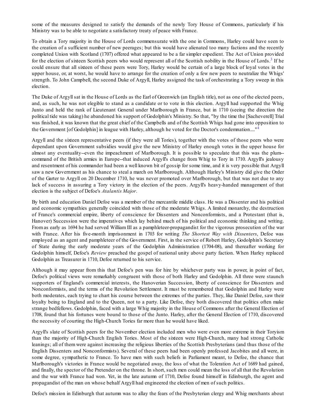some of the measures designed to satisfy the demands of the newly Tory House of Commons, particularly if his Ministry was to be able to negotiate a satisfactory treaty of peace with France.

<span id="page-3-0"></span>To obtain a Tory majority in the House of Lords commensurate with the one in Commons, Harley could have seen to the creation of a sufficient number of new peerages; but this would have alienated too many factions and the recently completed Union with Scotland (1707) offered what appeared to be a far simpler expedient. The Act of Union provided for the election of sixteen Scottish peers who would represent all of the Scottish nobility in the House of Lords.<sup>[3](#page-6-2)</sup> If he could ensure that all sixteen of these peers were Tory, Harley would be certain of a large block of loyal votes in the upper house, or, at worst, he would have to arrange for the creation of only a few new peers to neutralize the Whigs' strength. To John Campbell, the second Duke of Argyll, Harley assigned the task of orchestrating a Tory sweep in this election.

The Duke of Argyllsat in the House of Lords as the Earl of Greenwich (an English title), not as one of the elected peers, and, as such, he was not elegible to stand as a candidate or to vote in this election. Argyll had supported the Whig Junto and held the rank of Lieutenant General under Marlborough in France, but in 1710 (seeing the direction the political tide was taking) he abandoned his support of Godolphin's Ministry. So that, "by the time the [Sacheverell] Trial was finished, it was known that the great chief of the Campbells and of the Scottish Whigs had gone into opposition to the Government [of Godolphin] in league with Harley, although he voted for the Doctor's condemnation...."<sup>[4](#page-6-3)</sup>

<span id="page-3-1"></span>Argyll and the sixteen representative peers (if they were all Tories), together with the votes of those peers who were dependant upon Government subsidies would give the new Ministry of Harley enough votes in the upper house for almost any eventuality--even the impeachment of Marlborough. It is possible to speculate that this was the plum- command of the British armies in Europe--that induced Argyll's change from Whig to Tory in 1710. Argyll's jealousy and resentment of his commander had been a well known bit of gossip for some time, and it is very possible that Argyll saw a new Government as his chance to steal a march on Marlborough. Although Harley's Ministry did give the Order of the Garter to Argyll on 20 December 1710, he was never promoted over Marlborough, but that was not due to any lack of success in assuring a Tory victory in the election of the peers. Argyll's heavy-handed management of that election is the subject of Defoe's *Atalantis Major*.

By birth and education Daniel Defoe was a member of the mercantile middle class. He was a Dissenter and his political and economic sympathies generally coincided with those of the moderate Whigs. A limited monarchy, the destruction of France's commercial empire, liberty of conscience for Dissenters and Nonconformists, and a Protestant (that is, Hanover) Succession were the imperatives which lay behind much of his political and economic thinking and writing. From as early as 1694 he had served William III as a pamphleteer-propagandist for the vigorous prosecution of the war with France. After his five-month imprisonment in 1703 for writing *The Shortest Way with Dissenters*, Defoe was employed as an agent and pamphleteer of the Government. First, in the service of Robert Harley, Godolphin's Secretary of State during the early moderate years of the Godolphin Administration (1704-08), and thereafter working for Godolphin himself, Defoe's *Review* preached the gospel of national unity above party faction. When Harley replaced Godolphin as Treasurer in 1710, Defoe returned to his service.

Although it may appear from this that Defoe's pen was for hire by whichever party was in power, in point of fact, Defoe's political views were remarkably congruent with those of both Harley and Godolphin. All three were staunch supporters of England's commercial interests, the Hanoverian Succession, liberty of conscience for Dissenters and Nonconformists, and the terms of the Revolution Settlement. It must be remembered that Godolphin and Harley were both moderates, each trying to chart his course between the extremes of the parties. They, like Daniel Defoe, saw their loyalty being to England and to the Queen, not to a party. Like Defoe, they both discovered that politics often make strange bedfellows. Godolphin, faced with a large Whig majority in the House of Commons after the General Election of 1708, found that his fortunes were bound to those of the Junto. Harley, after the General Election of 1710, discovered the necessity of courting the High-Church Tories far more than he would have liked.

Argyll's slate of Scottish peers for the November election included men who were even more extreme in their Toryism than the majority of High-Church English Tories. Most of the sixteen were High-Church, many had strong Catholic leanings; all of them were against increasing the religious liberties of the Scottish Presbyterians (and thus those of the English Dissenters and Nonconformists). Several of these peers had been openly professed Jacobites and all were, in some degree, sympathetic to France. To have men with such beliefs in Parliament meant, to Defoe, the chance that Marlborough's victories in France would be negotiated away, the loss of what the Toleration Act of 1689 had gained, and finally, the spector of the Pretender on the throne. In short, such men could mean the loss of all that the Revolution and the war with France had won. Yet, in the late autumn of 1710, Defoe found himself in Edinburgh, the agent and propagandist of the man on whose behalf Argyll had engineered the election of men of such politics.

Defoe's mission in Edinburgh that autumn was to allay the fears of the Presbyterian clergy and Whig merchants about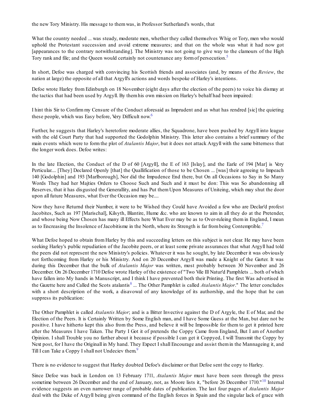the new Tory Ministry. His message to themwas, in Professor Sutherland's words, that

What the country needed ... was steady, moderate men, whether they called themselves Whig or Tory, men who would uphold the Protestant succession and avoid extreme measures; and that on the whole was what it had now got [appearances to the contrary notwithstanding]. The Ministry was not going to give way to the clamours of the High Tory rank and file; and the Queen would certainly not countenance any form of persecution.<sup>[5](#page-6-4)</sup>

<span id="page-4-0"></span>In short, Defoe was charged with convincing his Scottish friends and associates (and, by means of the *Review*, the nation at large) the opposite of all that Argyll's actions and words bespoke of Harley's intentions.

Defoe wrote Harley from Edinburgh on 18 November (eight days after the election of the peers) to voice his dismay at the tactics that had been used by Argyll. By themhis own mission on Harley's behalf had been impaired:

<span id="page-4-1"></span>I hint this Sir to Confirm my Censure of the Conduct aforesaid as Imprudent and as what has rendred [sic] the quieting these people, which was Easy before, Very Difficult now.<sup>[6](#page-6-5)</sup>

Further, he suggests that Harley's heretofore moderate allies, the Squadrone, have been pushed by Argyll into league with the old Court Party that had supported the Godolphin Ministry. This letter also contains a brief summary of the main events which were to form the plot of *Atalantis Major*, but it does not attack Argyll with the same bitterness that the longer work does. Defoe writes:

In the late Election, the Conduct of the D of 60 [Argyll], the E of 163 [Islay], and the Earle of 194 [Mar] is Very Perticular.... [They] Declared Openly [that] the Quallification of those to be Chosen ... [was] their agreeing to Impeach 140 [Godolphin] and 193 [Marlborough], Nor did the Impudence End there, but On all Occasions to Say in So Many Words They had her Majties Orders to Choose Such and Such and it must be don: This was So abandonning all Reserves, that it has disgusted the Generallity, and has Put them Upon Measures of Uniteing, which may shut the door upon all future Measures, what Ever the Occasion may be....

Now they have Returnd their Number, it were to be Wished they Could have Avoided a few who are Declar'd profest Jacobites, Such as 197 [Marischal], Kilsyth, Blantire, Hume &c. who are known to aim in all they do at the Pretender, and whose being Now Chosen has many ill Effects here What Ever may be as to Over-ruleing them in England, I mean as to Encreasing the Insolence of Jacobitisme in the North, where its Strength is far from being Contemptible.<sup>[7](#page-6-6)</sup>

<span id="page-4-2"></span>What Defoe hoped to obtain from Harley by this and succeeding letters on this subject is not clear. He may have been seeking Harley's public repudiation of the Jacobite peers, or at least some private assurances that what Argyll had told the peers did not represent the new Ministry's policies. Whatever it was he sought, by late December it was obviously not forthcoming from Harley or his Ministry. And on 20 December Argyll was made a Knight of the Garter. It was during this December that the bulk of *Atalantis Major* was written, most probably between 30 November and 26 December. On 26 December 1710 Defoe wrote Harley of the existence of "Two Vile Ill Natur'd Pamphlets ... both of which have fallen into My hands in Manuscript, and I think I have prevented both their Printing. The first Was advertised in the Gazette here and Called the Scots atalantis [8](#page-6-7) ... The Other Pamphlet is called *Atalantis Major*." The letter concludes with a short description of the work, a disavowal of any knowledge of its authorship, and the hope that he can suppress its publication:

<span id="page-4-3"></span>The Other Pamphlet is called *Atalantis Major*; and is a Bitter Invective against the D of Argyle, the E of Mar, and the Election of the Peers. It is Certainly Written by Some English man, and I have Some Guess at the Man, but dare not be positive. I have hitherto kept this also from the Press, and believe it will be Impossible for them to get it printed here after the Measures I have Taken. The Party I Got it of pretends the Coppy Came from England, But I am of Another Opinion. I shall Trouble you no farther about it because if possible I can get it Coppyed, I will Transmit the Coppy by Next post, for I have the Originall in My hand. They Expect I shall Encourage and assist themin the Mannageing it, and Till I can Take a Coppy I shall not Undeciev them.<sup>[9](#page-6-8)</sup>

<span id="page-4-4"></span>There is no evidence to suggest that Harley doubted Defoe's disclaimer or that Defoe sent the copy to Harley.

<span id="page-4-5"></span>Since Defoe was back in London on 13 February 1711, *Atalantis Major* must have been seen through the press sometime between 26 December and the end of January, not, as Moore lists it, "before 26 December 17[10](#page-6-9)."<sup>10</sup> Internal evidence suggests an even narrower range of probable dates of publication. The last four pages of *Atalantis Major* deal with the Duke of Argyll being given command of the English forces in Spain and the singular lack of grace with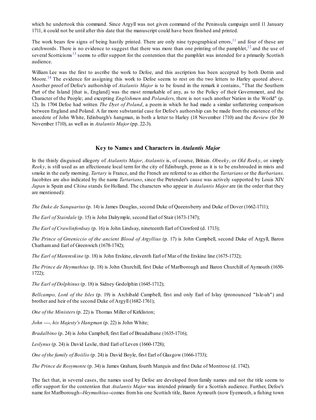which he undertook this command. Since Argyll was not given command of the Peninsula campaign until 11 January 1711, it could not be until after this date that the manuscript could have been finished and printed.

<span id="page-5-2"></span>The work bears few signs of being hastily printed. There are only nine typographical errors,<sup>[11](#page-6-10)</sup> and four of these are catchwords. There is no evidence to suggest that there was more than one printing of the pamphlet,<sup>[12](#page-6-11)</sup> and the use of several Scotticisms<sup>[13](#page-6-12)</sup> seems to offer support for the contention that the pamphlet was intended for a primarily Scottish audience.

<span id="page-5-3"></span>William Lee was the first to ascribe the work to Defoe, and this ascription has been accepted by both Dottin and Moore.<sup>[14](#page-6-13)</sup> The evidence for assigning this work to Defoe seems to rest on the two letters to Harley quoted above. Another proof of Defoe's authorship of *Atalantis Major* is to be found in the remark it contains, "That the Southern Part of the Island [that is, England] was the most remarkable of any, as to the Policy of their Government, and the Character of the People; and excepting *Englishmen* and *Polanders*, there is not such another Nation in the World" (p. 12). In 1704 Defoe had written *The Dyet of Poland*, a poem in which he had made a similar unflattering comparison between England and Poland. A far more substantial case for Defoe's authorship can be made from the existence of the anecdote of John White, Edinburgh's hangman, in both a letter to Harley (18 November 1710) and the *Review* (for 30 November 1710), as well as in *Atalantis Major* (pp. 22-3).

#### <span id="page-5-1"></span><span id="page-5-0"></span>**Key to Names and Characters in** *Atalantis Major*

In the thinly disguised allegory of *Atalantis Major*, *Atalantis* is, of course, Britain. *Olreeky*, or *Old Reeky*, or simply *Reeky*, is still used as an affectionate local term for the city of Edinburgh, prone as it is to be enshrouded in mists and smoke in the early morning. *Tartary* is France, and the French are referred to as either the *Tartarians* or the *Barbarians*. Jacobites are also indicated by the name *Tartarians*, since the Pretender's cause was actively supported by Louis XIV. *Japan* is Spain and *China* stands for Holland. The characters who appear in *Atalantis Major* are (in the order that they are mentioned):

*The Duke de Sanquarius* (p. 14) is James Douglas, second Duke of Queensberry and Duke of Dover (1662-1711);

*The Earl of Stairdale* (p. 15) is John Dalrymple, second Earl of Stair (1673-1747);

*The Earl of Crawlinfordsay* (p. 16) is John Lindsay, nineteenth Earl of Crawford (d. 1713);

*The Prince of Greeniccio of the ancient Blood of Argyllius* (p. 17) is John Campbell, second Duke of Argyll, Baron Chathamand Earl of Greenwich (1678-1742);

*The Earl of Marereskine* (p. 18) is John Erskine, eleventh Earl of Mar of the Erskine line (1675-1732);

*The Prince de Heymuthius* (p. 18) is John Churchill, first Duke of Marlborough and Baron Churchill of Aymouth (1650- 1722);

*The Earl of Dolphinus* (p. 18) is Sidney Godolphin (1645-1712);

*Bellcampo, Lord of the Isles* (p. 19) is Archibald Campbell, first and only Earl of Islay (pronounced "Isle-ah") and brother and heir of the second Duke of Argyll (1682-1761);

*One of the Ministers* (p. 22) is Thomas Miller of Kirkliston;

*John ----, his Majesty's Hangman* (p. 22) is John White;

*Bradalbino* (p. 24) is John Campbell, first Earl of Breadalbane (1635-1716);

*Leslynus* (p. 24) is David Leslie, third Earl of Leven (1660-1728);

*One of the family of Boiilio* (p. 24) is David Boyle, first Earl of Glasgow (1666-1733);

*The Prince de Rosymonte* (p. 34) is James Graham, fourth Marquis and first Duke of Montrose (d. 1742).

The fact that, in several cases, the names used by Defoe are developed from family names and not the title seems to offer support for the contention that *Atalantis Major* was intended primarily for a Scottish audience. Further, Defoe's name for Marlborough--*Heymuthius*--comes fromhis one Scottish title, Baron Aymouth (now Eyemouth, a fishing town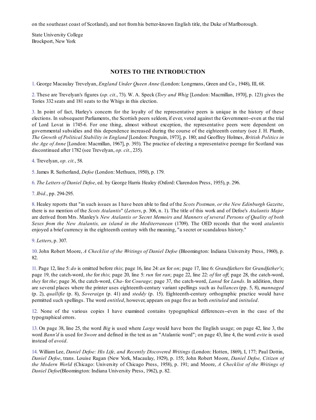on the southeast coast of Scotland), and not fromhis better-known English title, the Duke of Marlborough.

State University College Brockport, New York

#### **NOTES TO THE INTRODUCTION**

<span id="page-6-0"></span>[1.](#page-2-0) George Macaulay Trevelyan, *England Under Queen Anne* (London: Longmans, Green and Co., 1948), III, 68.

<span id="page-6-1"></span>[2.](#page-2-1) These are Trevelyan's figures (*op. cit.*, 73). W. A. Speck (*Tory and Whig* [London: Macmillan, 1970], p. 123) gives the Tories 332 seats and 181 seats to the Whigs in this election.

<span id="page-6-2"></span>[3.](#page-3-0) In point of fact, Harley's concern for the loyalty of the representative peers is unique in the history of these elections. In subsequent Parliaments, the Scottish peers seldom, if ever, voted against the Government--even at the trial of Lord Lovat in 1745-6. For one thing, almost without exception, the representative peers were dependent on governmental subsidies and this dependence increased during the course of the eighteenth century (see J. H. Plumb, *The Growth of Political Stability in England* [London: Penguin, 1973], p. 180; and Geoffrey Holmes, *British Politics in the Age of Anne* [London: Macmillan, 1967], p. 393). The practice of electing a representative peerage for Scotland was discontinued after 1782 (see Trevelyan, *op. cit.*, 235).

<span id="page-6-3"></span>[4.](#page-3-1) Trevelyan, *op. cit.*, 58.

<span id="page-6-4"></span>[5.](#page-4-0) James R. Sutherland, *Defoe* (London: Methuen, 1950), p. 179.

<span id="page-6-5"></span>[6.](#page-4-1) *The Letters of Daniel Defoe*, ed. by George Harris Healey (Oxford: Clarendon Press, 1955), p. 296.

<span id="page-6-6"></span>[7.](#page-4-2) *Ibid.*, pp. 294-295.

<span id="page-6-7"></span>[8.](#page-4-3) Healey reports that "in such issues as I have been able to find of the *Scots Postman, or the New Edinburgh Gazette*, there is no mention of the *Scots Atalantis*" (*Letters*, p. 306, n. 1). The title of this work and of Defoe's *Atalantis Major* are derived from Mrs. Manley's *New Atalantis or Secret Memoirs and Manners of several Persons of Quality of both Sexes from the New Atalantis, an island in the Mediterranean* (1709). The OED records that the word *atalantis* enjoyed a brief currency in the eighteenth century with the meaning, "a secret or scandalous history."

<span id="page-6-8"></span>[9.](#page-4-4) *Letters*, p. 307.

<span id="page-6-9"></span>[10.](#page-4-5) John Robert Moore, *A Checklist of the Writings of Daniel Defoe* (Bloomington: Indiana University Press, 1960), p. 82.

<span id="page-6-10"></span>[11.](#page-5-0) Page 12, line 5: *do* is omitted before *this*; page 16, line 24: *an* for *on*; page 17, line 6: *Grandfathers* for *Grandfather's*; page 19, the catch-word, *the* for *this*; page 20, line 5: *run* for *ran*; page 22, line 22: *of* for *of* ; page 28, the catch-word, *they* for *the*; page 36, the catch-word, *Cha-* for *Courage*; page 37, the catch-word, *Lansd* for *Lands*. In addition, there are several places where the printer uses eighteenth-century variant spellings such as *ballances* (pp. 5, 8), *mannaged* (p. 2), *quallifie* (p. 8), *Soveraign* (p. 41) and *steddy* (p. 15). Eighteenth-century orthographic practice would have permitted such spellings. The word *entitled*, however, appears on page five as both *entituled* and *intituled*.

<span id="page-6-11"></span>[12.](#page-5-1) None of the various copies I have examined contains typographical differences--even in the case of the typographical errors.

<span id="page-6-12"></span>[13.](#page-5-2) On page 38, line 25, the word *Big* is used where *Large* would have been the English usage; on page 42, line 3, the word *Bann'd* is used for *Swore* and defined in the text as an "Atalantic word"; on page 43, line 4, the word *evite* is used instead of *avoid*.

<span id="page-6-13"></span>[14.](#page-5-3) William Lee, *Daniel Defoe: His Life, and Recently Discovered Writings* (London: Hotten, 1869), I, 177; Paul Dottin, *Daniel Defoe*, trans. Louise Ragan (New York, Macaulay, 1929), p. 155; John Robert Moore, *Daniel Defoe, Citizen of the Modern World* (Chicago: University of Chicago Press, 1958), p. 191; and Moore, *A Checklist of the Writings of Daniel Defoe*(Bloomington: Indiana University Press, 1962), p. 82.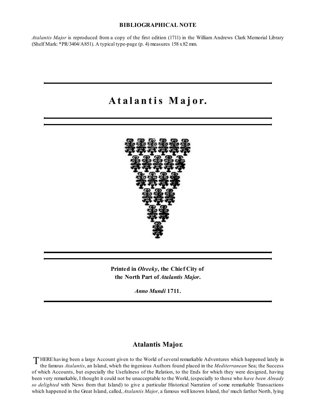#### **BIBLIOGRAPHICAL NOTE**

*Atalantis Major* is reproduced from a copy of the first edition (1711) in the William Andrews Clark Memorial Library (Shelf Mark: \*PR/3404/A851). A typical type-page (p. 4) measures 158 x82 mm.

## **A t a l a n t is M a j o r.**



**Printed in** *Olreeky***, the Chief City of the North Part of** *Atalantis Major***.**

*Anno Mundi* **1711.**

#### **Atalantis Major.**

T HERE having been a large Account given to the World of several remarkable Adventures which happened lately in<br>the famous *Atalantis* an Island, which the ingenious Authors found placed in the *Mediterranean* Sea: the Suc the famous *Atalantis*, an Island, which the ingenious Authors found placed in the *Mediterranean* Sea; the Success of which Accounts, but especially the Usefulness of the Relation, to the Ends for which they were designed, having been very remarkable, I thought it could not be unacceptable to the World, (especially to those who *have been Already so delighted* with News from that Island) to give a particular Historical Narration of some remarkable Transactions which happened in the Great Island, called, *Atalantis Major*, a famous well known Island, tho' much farther North, lying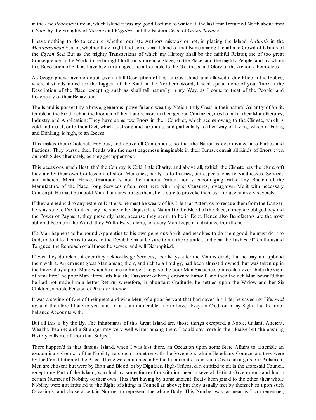in the *Ducaledonian* Ocean, which Island it was my good Fortune to winter at, the last time I returned North about from *China*, by the Streights of *Nassau* and *Wygates*, and the Eastern Coast of *Grand Tartary*.

I have nothing to do to enquire, whether our late Authors mistook or not, in placing the Island *Atalantis* in the *Mediterranean* Sea, or, whether they might find some small Island of that Name among the infinite Crowd of Islands of the *Egean* Sea: But as the mighty Transactions of which my History shall be the faithful Relator, are of too great Consequence in the World to be brought forth on so mean a Stage; so the Place, and the mighty People, and by whom this Revolution of Affairs have been mannaged, are allsuitable to the Greatness and Glory of the Actions themselves.

As Geographers have no doubt given a full Description of this famous Island, and allowed it due Place in the Globes, where it stands noted for the biggest of the Kind in the Northern World, I need spend none of your Time in the Description of the Place, excepting such as shall fall naturally in my Way, as I come to treat of the People, and historically of their Behaviour.

The Island is possest by a brave, generous, powerful and wealthy Nation, truly Great in their natural Gallantry of Spirit, terrible in the Field, rich in the Product of their Lands, more in their general Commerce, most of all in their Manufactures, Industry and Application: They have some few Errors in their Conduct, which seems owing to the Climate, which is cold and moist, or to their Diet, which is strong and luxurious, and particularly to their way of Living, which in Eating and Drinking, is high, to an Excess.

This makes them Cholerick, Envious, and above all Contentious, so that the Nation is ever divided into Parties and Factions: They pursue their Feuds with the most eagerness imaginable in their Turns, commit all Kinds of Errors even on both Sides alternately, as they get uppermost.

This occasions much Heat, tho' the Country is Cold, little Charity, and above all, (which the Climate has the blame off) they are by their own Confession, of short Memories, partly as to Injuries, but especially as to Kindnesses, Services and inherent Merit. Hence, Gratitude is not the national Virtue, nor is encouraging Virtue any Branch of the Manufacture of the Place; long Services often meet here with unjust Censures; overgrown Merit with necessary Contempt: He must be a bold Man that dares oblige them; he is sure to provoke themby it to use himvery severely.

If they are reduc'd to any extreme Distress, he must be weary of his Life that Attempts to rescue them from the Danger; he is as sure to Die for it as they are sure to be Unjust: It is Natural to the Blood of the Race, if they are obliged beyond the Power of Payment, they presently hate, because they scorn to be in Debt. Hence also Benefactors are the most abhorr'd People in the World, they Walk always alone, for every Man keeps at a distance fromthem.

If a Man happens to be bound Apprentice to his own generous Spirit, and resolves to do them good, he must do it to God, to do it to them is to work to the Devil; he must be sure to run the Gauntlet, and bear the Lashes of Ten thousand Tongues, the Reproach of all those he serves, and will Die unpitied.

If ever they do relent, if ever they acknowledge Services, 'tis always after the Man is dead, that he may not upbraid them with it. An eminent great Man among them, and rich to a Prodigy, had been almost drowned, but was taken up in the Interval by a poor Man; when he came to himself, he gave the poor Man Six-pence, but could never abide the sight of him after: The poor Man afterwards had the Dissaster of being drowned himself, and then the rich Man bewail'd that he had not made him a better Return, wherefore, in abundant Gratitude, he settled upon the Widow and her Six Children, a noble Pension of 20 *s. per Annum*.

It was a saying of One of their great and wise Men, of a poor Servant that had saved his Life; he saved my Life, *said he*, and therefore I hate to see him, for it is an intolerable Life to have always a Creditor in my Sight that I cannot ballance Accounts with.

But all this is by the By. The Inhabitants of this Great Island are, those things excepted, a Noble, Gallant, Ancient, Wealthy People; and a Stranger may very well winter among them. I could say more in their Praise but the ensuing History calls me off fromthat Subject.

There happen'd in that famous Island, when I was last there, an Occasion upon some State Affairs to assemble an extraordinary Council of the Nobility, to consult together with the Sovereign; whole Hereditary Councellors they were by the Constitution of the Place: These were not chosen by the Inhabitants, as in such Cases among us our Parliament Men are chosen; but were by Birth and Blood, or by Dignities, High-Offices, *&c.* entitled to sit in the aforesaid Council, except one Part of the Island, who had by some former Constitution been a several distinct Government, and had a certain Number of Nobility of their own. This Part having by some ancient Treaty been join'd to the other, their whole Nobility were not intituled to the Right of sitting in Council as above; but they usually met by themselves upon such Occasions, and chose a certain Number to represent the whole Body. This Number was, as near as I can remember,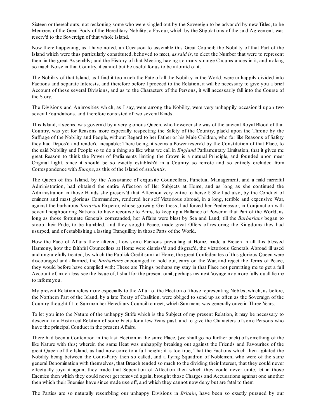Sixteen or thereabouts, not reckoning some who were singled out by the Sovereign to be advanc'd by new Titles, to be Members of the Great Body of the Hereditary Nobility; a Favour, which by the Stipulations of the said Agreement, was reserv'd to the Sovereign of that whole Island.

Now there happening, as I have noted, an Occasion to assemble this Great Council; the Nobility of that Part of the Island which were thus particularly constituted, behoved to meet, *as said is*, to elect the Number that were to represent them in the great Assembly; and the History of that Meeting having so many strange Circumstances in it, and making so much Noise in that Country, it cannot but be useful for us to be inform'd of it.

The Nobility of that Island, as I find it too much the Fate of all the Nobility in the World, were unhappily divided into Factions and separate Interests, and therefore before I proceed to the Relation, it will be necessary to give you a brief Account of these several Divisions, and as to the Characters of the Persons, it will necessarily fall into the Course of the Story.

The Divisions and Animosities which, as I say, were among the Nobility, were very unhappily occasion'd upon two several Foundations, and therefore consisted of two several Kinds.

This Island, it seems, was govern'd by a very glorious Queen, who however she was of the ancient Royal Blood of that Country, was yet for Reasons more especially respecting the Safety of the Country, plac'd upon the Throne by the Suffrage of the Nobility and People, without Regard to her Father or his Male Children, who for like Reasons of Safety they had Depos'd and render'd incapable: There being, it seems a Power reserv'd by the Constitution of that Place, to the said Nobility and People so to do a thing so like what we call in *England* Parliamentary Limitation, that it gives me great Reason to think the Power of Parliaments limiting the Crown is a natural Principle, and founded upon meer Original Light, since it should be so exactly establish'd in a Country so remote and so entirely excluded from Correspondence with *Europe*, as this of the Island of *Atalantis*.

The Queen of this Island, by the Assistance of exquisite Councellors, Punctual Management, and a mild merciful Administration, had obtain'd the entire Affection of Her Subjects at Home, and as long as she continued the Administration in those Hands she preserv'd that Affection very entire to herself; She had also, by the Conduct of eminent and most glorious Commanders, rendered her self Victorious abroad, in a long, terrible and expensive War, against the barbarous *Tartarian* Emperor, whose growing Greatness, had forced her Predecessor, in Conjunction with several neighbouring Nations, to have recourse to Arms, to keep up a Ballance of Power in that Part of the World, as long as those fortunate Generals commanded, her Affairs were blest by Sea and Land; till the *Barbarians* began to stoop their Pride, to be humbled, and they sought Peace, made great Offers of restoring the Kingdoms they had usurped, and of establishing a lasting Tranquillity in those Parts of the World.

How the Face of Affairs there altered, how some Factions prevailing at Home, made a Breach in all this blessed Harmony, how the faithful Councellors at Home were dismiss'd and disgrac'd, the victorious Generals Abroad ill used and ungratefully treated, by which the Publick Credit sunk at Home, the great Confederates of this glorious Queen were discouraged and allarmed, the *Barbarians* encouraged to hold out, carry on the War, and reject the Terms of Peace, they would before have complied with: These are Things perhaps my stay in that Place not permitting me to get a full Account of, much less see the Issue of, I shall for the present omit, perhaps my next Voyage may more fully quallifie me to informyou.

My present Relation refers more especially to the Affair of the Election of those representing Nobles, which, as before, the Northern Part of the Island, by a late Treaty of Coalition, were obliged to send up as often as the Soveraign of the Country thought fit to Summon her Hereditary Council to meet, which Summons was generally once in Three Years.

To let you into the Nature of the unhappy Strife which is the Subject of my present Relation, it may be necessary to descend to a Historical Relation of some Facts for a few Years past, and to give the Characters of some Persons who have the principal Conduct in the present Affairs.

There had been a Contention in the last Election in the same Place, (we shall go no further back) of something of the like Nature with this; wherein the same Heat was unhappily breaking out against the Friends and Favourites of the great Queen of the Island, as had now come to a full height; it is too true, That the Factions which then agitated the Nobility being between the Court-Party then so called, and a flying Squadron of Noblemen, who were of the same general Denomination with themselves, that Breach tended so much to the dividing their Interest, that they could never effectually joyn it again, they made that Seperation of Affection then which they could never unite, let in those Enemies then which they could never get removed again, brought those Charges and Accusations against one another then which their Enemies have since made use off, and which they cannot now deny but are fatal to them.

The Parties are so naturally resembling our unhappy Divisions in *Britain*, have been so exactly pursued by our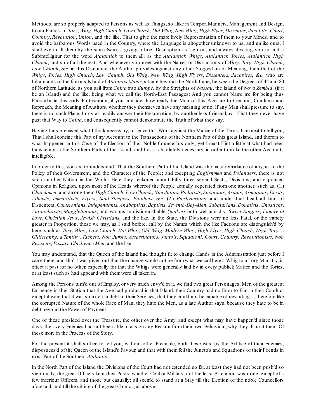Methods, are so properly adapted to Persons as well as Things, so alike in Temper, Manners, Management and Design, to our Parties, of *Tory*, *Whig*, *High Church*, *Low Church*, *Old Whig*, *New Whig*, *High Flyer*, *Dissenter*, *Jacobite*, *Court*, *Country*, *Revolution*, *Union*, and the like. That to give the more lively Representation of them to your Minds, and to avoid the barbarous Words used in the Country, where the Language is altogether unknown to us, and unlike ours, I shall even call them by the same Names, giving a brief Description as I go on, and always desiring you to add a Subintelligitur for the word *Atalantick* to them all; as the *Atalantick Whigs*, *Atalantick Tories*, *Atalantick High Church*, and so of all the rest: And whenever you meet with the Names or Distinctions of *Whig*, *Tory*, *High Church*, *Low Church*, *&c.* in this Discourse, the Author provides against any other Suggestion or Meaning, than that of the *Whigs*, *Tories*, *High Church*, *Low Church*, *Old Whig*, *New Whig*, *High Flyers*, *Dissenters*, *Jacobites*, *&c.* who are Inhabitants of the famous Island of *Atalantis Major*, situate beyond the North Cape, between the Degrees of 42 and 80 of Northern Latitude, as you sail from *China* into *Europe*, by the Streights of *Nassau*, the Island of *Nova Zembla*, (if it be an Island) and the like, being what we call the North-East Passages: And you cannot blame me for being thus Particular in this early Protestation, if you consider how ready the Men of this Age are to Censure, Condemn and Reproach, the Meaning of Authors, whether they themseves have any meaning or no. If any Man shall presume to say, there is no such Place, I may as readily answer their Presumption, by another less Criminal, *viz.* That they never have past that Way to *China*, and consequently cannot demonstrate the Truth of what they say.

Having thus premised what I think necessary, to fence this Work against the Malice of the Times, I am next to tell you, That I shall confine this Part of my Account to the Transactions of the Northern Part of this great Island, and therein to what happened in this Case of the Election of their Noble Councellors only; yet I must Hint a little at what had been transacting in the Southern Parts of the Island; and this is absolutely necessary, in order to make the other Accounts intelligible.

In order to this, you are to understand, That the Southern Part of the Island was the most remarkable of any, as to the Policy of their Government, and the Character of the People; and excepting *Englishmen* and *Polanders*, there is not such another Nation in the World: Here they reckoned about Fifty three several Sects, Divisions, and espoused Opinions in Religion, upon most of the Heads whereof the People actually seperated from one another; such as, (1.) *Churchmen*, and among them *High Church*, *Low Church*, *Non Jurors*, *Prelatists*, *Socinians*, *Arians*, *Arminians*, *Deists*, *Atheists*, *Immoralists*, *Flyers*, *Soul-Sleepers*, *Prophets*, *&c.* (2.) *Presbyterians*, and under that head all kind of Dissenters, *Cameronians*, *Independants*, *Anabaptists*, *Baptists*, *Seventh-Day-Men*, *Sabatarians*, *Donatists*, *Gnosticks*, *Antiprelatists*, *Muggletonians*, and various undistinguishable *Quakers* both wet and dry, *Sweet Singers*, *Family of Love*, *Christian Jews*, *Jewish Christians*, and the like. In the State, the Divisions were no less Fatal, or the variety greater in Proportion, these we may, as I said before, call by the Names which the like Factions are distinguish'd by here; such as *Tory*, *Whig*, *Low Church*, *Hot Whig*, *Old Whig*, *Modern Whig*, *High Flyer*, *High Church*, *High Tory*, a *Gillicranky*, a *Tantivy*, *Tackers*, *Non Jurors*, *Assassinators*, *Junto's*, *Squadroni*, *Court*, *Country*, *Revolutionists*, *Non Resisters*, *Passive Obedience Men*, and the like.

You may understand, that the Queen of the Island had thought fit to change Hands in the Administration just before I came there, and tho' it was given out that the change would not be fromwhat we call here a Whig to a Tory Ministry, in effect it past for no other, especially for that the Whigs were generally laid by in every publick Matter, and the Tories, or at least such as had appear'd with themwere all taken in.

Among the Persons turn'd out of Employ, or very much envy'd in it, we find two great Personages, Men of the greatest Eminency in their Station that the Age had produc'd in that Island, their Country had no Error to find in their Conduct except it were that it was so much in debt to their Services, that they could not be capable of rewarding it, therefore like the corrupted Nature of the whole Race of Man, they hate the Men, as a late Author says, because they hate to be in debt beyond the Power of Payment.

One of these presided over the Treasure, the other over the Army, and except what may have happen'd since those days, their very Enemies had not been able to assign any Reason from their own Behaviour, why they dismist them. Of these more in the Process of the Story.

For the present it shall suffice to tell you, without other Preamble, both these were by the Artifice of their Enemies, dispossess'd of the Queen of the Island's Favour, and that with them fell the Juncto's and Squadrons of their Friends in most Part of the Southern *Atalantis*.

In the North Part of the Island the Divisions of the Court had not extended so far, at least they had not been push'd so vigorously, the great Officers kept their Posts, whether Civil or Military, not the least Alteration was made, except of a few inferiour Officers, and those but casually; all seem'd to stand at a Stay till the Election of the noble Councellors aforesaid, and till the sitting of the great Council, as above.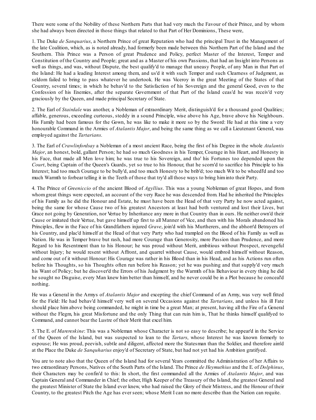There were some of the Nobility of these Northern Parts that had very much the Favour of their Prince, and by whom she had always been directed in those things that related to that Part of Her Dominions, These were,

1. The Duke *de Sanquarius*, a Northern Prince of great Reputation who had the principal Trust in the Management of the late Coalition, which, as is noted already, had formerly been made between this Northern Part of the Island and the Southern. This Prince was a Person of great Prudence and Policy, perfect Master of the Interest, Temper and Constitution of the Country and People; great and as a Master of his own Passions, that had an Insight into Persons as well as things, and was, without Dispute, the best qualify'd to manage that uneasy People, of any Man in that Part of the Island: He had a leading Interest among them, and us'd it with such Temper and such Clearness of Judgment, as seldom failed to bring to pass whatever he undertook. He was Viceroy in the great Meeting of the States of that Country, several times; in which he behav'd to the Satisfaction of his Sovereign and the general Good, even to the Confession of his Enemies, after the separate Government of that Part of the Island ceas'd he was receiv'd very graciously by the Queen, and made principal Secretary of State.

2. The Earl of *Stairdale* was another, a Nobleman of extraordinary Merit, distinguish'd for a thousand good Qualities; affable, generous, exceeding curteous, steddy in a sound Principle, wise above his Age, brave above his Neighbours. His Family had been famous for the Gown, he was like to make it more so by the Sword: He had at this time a very honourable Command in the Armies of *Atalantis Major*, and being the same thing as we call a Lieutenant General, was employed against the *Tartarians*.

3. The Earl of *Crawlinfordsay* a Nobleman of a most ancient Race, being the first of his Degree in the whole *Atalantis Major*, an honest, bold, gallant Person; he had so much Goodness in his Temper, Courage in his Heart, and Honesty in his Face, that made all Men love him; he was true to his Sovereign, and tho' his Fortunes too depended upon the *Court*, being Captain of the Queen's Guards, yet so true to his Honour, that he scorn'd to sacrifice his Principle to his Interest; had too much Courage to be bully'd, and too much Honesty to be brib'd; too much Wit to be wheedl'd and too much Warmth to forbear telling it in the Teeth of those that try'd all those ways to bring himinto their Party.

4. The Prince of *Greeniccio* of the ancient Blood of *Agyllius*. This was a young Nobleman of great Hopes, and from whom great things were expected, an account of the very Race he was descended from. Had he inherited the Principles of his Family as he did the Honour and Estate, he must have been the Head of that very Party he now acted against, being the same for whose Cause two of his greatest Ancestors at least had both ventured and lost their Lives, but Grace not going by Generation, nor Vertue by Inheritance any more in that Country than in ours. He neither own'd their Cause or imitated their Vertue, but gave himself up first to all Manner of Vice, and then with his Morals abandoned his Principles, flew in the Face of his Grandfathers injured *Grave*, join'd with his Murtherers, and the abhorr'd Betrayers of his Country, and plac'd himself at the Head of that very Party who had trampled on the Blood of his Family as well as Nation. He was in Temper brave but rash, had more Courage than Generosity, more Passion than Prudence, and more Regard to his Resentment than to his Honour; he was proud without Merit, ambitious without Prospect, revengeful without Injury; he would resent without Affront, and quarrel without Cause, would embroil himself without Reason, and come out of it without Honour: His Courage was rather in his Blood than in his Head, and as his Actions run often before his Thoughts, so his Thoughts often run before his Reason; yet he was pushing and that supply'd very much his Want of Policy; but he discover'd the Errors of his Judgment by the Warmth of his Behaviour in every thing he did he sought no Disguise, every Man knew him better than himself, and he never could be in a Plot because he conceal'd nothing.

He was a General in the Armys of *Atalantis Major* and excepting the chief Command of an Army, was very well fitted for the Field: He had behav'd himself very well on several Occasions against the *Tartarians*, and unless his ill Fate should place him above being commanded, he might in time be a great Man; at present, having all the Fire of a General without the Flegm, his great Misfortune and the only Thing that can ruin him is, That he thinks himself qualifyed to Command, and cannot bear the Lustre of their Merit that excel him.

5. The E. of *Marereskine*: This was a Nobleman whose Character is not so easy to describe; he appear'd in the Service of the Queen of the Island, but was suspected to lean to the *Tartars*, whose Interest he was known formerly to espouse; He was proud, peevish, subtle and diligent, affected more the Statesman than the Soldier, and therefore aim'd at the Place the Duke *de Sanquharius* enjoy'd of Secretary of State, but had not yet had his Ambition gratifyed.

You are to note also that the Queen of the Island had for several Years committed the Administration of her Affairs to two extraordinary Persons, Natives of the South Parts of the Island. The Prince *de Heymuthius* and the E. of *Dolphinus*, their Characters may be confin'd to this: In short, the first commanded all the Armies of *Atalantis Major*, and was Captain General and Commander in Chief; the other, High Keeper of the Treasury of the Island, the greatest General and the greatest Minister of State the Island ever knew, who had raised the Glory of their Mistress, and the Honour of their Country, to the greatest Pitch the Age has ever seen; whose Merit I can no more describe than the Nation can requite.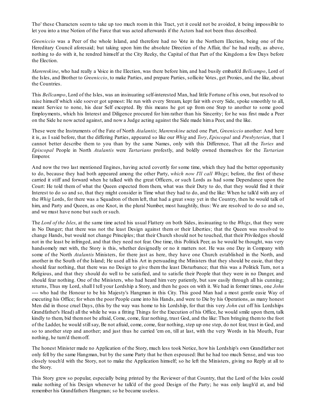Tho' these Characters seem to take up too much room in this Tract, yet it could not be avoided, it being impossible to let you into a true Notion of the Farce that was acted afterwards if the Actors had not been thus described.

*Greeniccio* was a Peer of the whole Island, and therefore had no Vote in the Northern Election, being one of the Hereditary Council aforesaid; but taking upon him the absolute Direction of the Affair, tho' he had really, as above, nothing to do with it, he rendred himself at the City Reeky, the Capital of that Part of the Kingdom a few Days before the Election.

*Marereskine*, who had really a Voice in the Election, was there before him, and had busily embark'd *Bellcampo*, Lord of the Isles, and Brother to *Greeniccio*, to make Parties, and prepare Parties, sollicite Votes, get Proxies, and the like, about the Countries.

This *Bellcampo*, Lord of the Isles, was an insinuating self-interested Man, had little Fortune of his own, but resolved to raise himself which side soever got upmost: He run with every Stream, kept fair with every Side, spoke smoothly to all, meant Service to none, his dear Self excepted. By this means he got up from one Step to another to some good Employments, which his Interest and Diligence procured for him rather than his Sincerity; for he was first made a Peer on the Side he now acted against, and now a Judge acting against the Side made hima Peer, and the like.

These were the Instruments of the Fate of North *Atalantis*; *Marereskine* acted one Part, *Greeniccio* another: And here it is, as I said before, that the differing Parties, appeared so like our *Whig* and *Tory*, *Episcopal* and *Presbyterian*, that I cannot better describe them to you than by the same Names, only with this Difference, That all the *Tories* and *Episcopal* People in North *Atalantis* were *Tartarians* profestly, and boldly owned themselves for the *Tartarian* Emperor.

And now the two last mentioned Engines, having acted covertly for some time, which they had the better opportunity to do, because they had both appeared among the other Party, *which now I'll call Whigs*; before, the first of these carried it stiff and forward when he talked with the great Officers, or such Lords as had some Dependance upon the Court: He told them of what the Queen expected from them, what was their Duty to do, that they would find it their Interest to do so and so, that they might consider in Time what they had to do, and the like: When he talk'd with any of the *Whig* Lords, for there was a Squadron of them left, that had a great sway yet in the Country, then he would talk of him, and Party and Queen, as one Knot, in the plural Number, most haughtily, thus: We are resolved to do so and so, and we must have none but such or such.

The *Lord of the Isles*, at the same time acted his usual Flattery on both Sides, insinuating to the *Whigs*, that they were in No Danger; that there was not the least Design against them or their Liberties; that the Queen was resolved to change Hands, but would not change Principles; that their Church should not be touched, that their Priviledges should not in the least be infringed, and that they need not fear. One time, this Politick Peer, as he would be thought, was very handsomely met with, the Story is this, whether designedly or no it matters not. He was one Day in Company with some of the North *Atalantis* Ministers, for there just as here, they have one Church established in the North, and another in the South of the Island; He used all his Art in persuading the Ministers that they should be easie, that they should fear nothing, that there was no Design to give them the least Disturbance; that this was a Politick Turn, not a Religious, and that they should do well to be satisfied, and to satisfie their People that they were in no Danger, and should fear nothing. One of the Ministers, who had heard him very patiently, but saw easily through all his cunning; returns, Thus my Lord, shall I tell your Lordship a Story, and then he goes on with it. We had in former times, one *John* ---- who had the Honour to be his Majesty's Hangman in this City. This good Man had a most gentle easie Way of executing his Office; for when the poor People came into his Hands, and were to Die by his Operations, as many honest Men did in those cruel Days, (this by the way was home to his Lordship, for that this very *John* cut off his Lordships Grandfather's Head) all the while he was a fitting Things for the Execution of his Office, he would smile upon them, talk kindly to them, bid themnot be afraid, Come, come, fear nothing, trust God, and the like: Then bringing themto the foot of the Ladder, he would stillsay, Be not afraid, come, come, fear nothing, step up one step, do not fear, trust in God, and so to another step and another; and just thus he carried 'em on, till at last, with the very Words in his Mouth, Fear nothing, he turn'd themoff.

The honest Minister made no Application of the Story, much less took Notice, how his Lordship's own Grandfather not only fell by the same Hangman, but by the same Party that he then espoused: But he had too much Sense, and was too closely touch'd with the Story, not to make the Application himself; so he left the Ministers, giving no Reply at all to the Story.

This Story grew so popular, especially being printed by the Reviewer of that Country, that the Lord of the Isles could make nothing of his Design whenever he talk'd of the good Design of the Party; he was only laugh'd at, and bid remember his Grandfathers Hangman; so he became useless.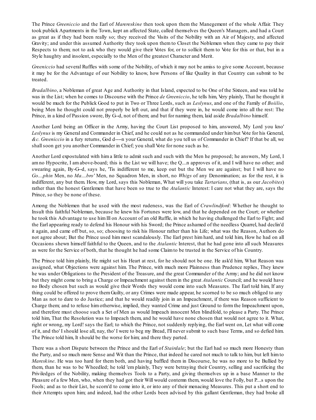The Prince *Greeniccio* and the Earl of *Marereskine* then took upon them the Manegement of the whole Affair. They took publick Apartments in the Town, kept an affected State, called themselves the Queen's Managers, and had a Court as great as if they had been really so; they received the Visits of the Nobility with an Air of Majesty, and affected Gravity; and under this assumed Authority they took upon them to Closet the Noblemen when they came to pay their Respects to them; not to ask who they would give their Votes for, or to sollicit them to Vote for this or that, but in a Style haughty and insolent, especially to the Men of the greatest Character and Merit.

*Greeniccio* had several Ruffles with some of the Nobility, of which it may not be amiss to give some Account, because it may be for the Advantage of our Nobility to know, how Persons of like Quality in that Country can submit to be treated.

*Bradalbino*, a Nobleman of great Age and Authority in that Island, expected to be One of the Sixteen, and was told he was in the List; when he comes to Discourse with the Prince *de Greeniccio*, he tells him, Very plainly, That he thought it would be much for the Publick Good to put in Two or Three Lords, such as *Leslynus*, and one of the Family of *Boiilio*, being Men he thought could not properly be left out, and that if they were in, he would come into all the rest: The Prince, in a kind of Passion swore, By G--d, not of them; and but for naming them, laid aside *Bradalbino* himself.

Another Lord being an Officer in the Army, having the Court List proposed to him, answered, My Lord you kno' *Leslynus* is my General and Commander in Chief, and he could not as he commanded under himbut Vote for his General, *&c. Greeniccio* in a fury returns, God d----n your General, what do you tell us of Commander in Chief? If that be all, we shallsoon get you another Commander in Chief; you shall Vote for none such as he.

Another Lord expostulated with him a little to admit such and such with the Men he proposed; he answers, My Lord, I am no Hypocrite, I am above-board; this is the List we will have; the Q....n approves of it, and I will have no other; and swearing again, By-G--d, says he, 'Tis indifferent to me, keep out but the Men we are against; but I will have no *Go....phin* Men, no *Ma....bro'* Men, no Squadron Men, in short, no *Whigs* of any Denomination; as for the rest, it is indifferent, any but them. How, my Lord, says this Nobleman, What will you take *Tartarians*, (that is, as our *Jacobites*) rather than the honest Gentlemen that have been so true to the *Atalantic* Interest: I care not what they are, says the Prince, so they be none of these.

Among the Noblemen that he used with the most rudeness, was the Earl of *Crawlindford*: Whether he thought to Insult this faithful Nobleman, because he knew his Fortunes were low, and that he depended on the Court; or whether he took this Advantage to use himIll on Account of an old Ruffle, in which he having challenged the Earl to Fight; and the Earl appearing ready to defend his Honour with his Sword; the Prince ashamed of the needless Quarrel, had declin'd it again, and came off but, so, so; choosing to risk his Honour rather than his Life; what was the Reason, Authors do not agree about; But the Prince used him most scandalously. The Earl prest him hard, and told him, How he had on all Occasions shewn himself faithful to the Queen, and to the *Atalantic* Interest, that he had gone into all such Measures as were for the Service of both, that he thought he had some Claimto be trusted in the Service of his Country.

The Prince told him plainly, He might set his Heart at rest, for he should not be one. He ask'd him, What Reason was assigned, what Objections were against him. The Prince, with much more Plainness than Prudence replies, They knew he was under Obligations to the President of the Treasure, and the great Commander of the Army; and he did not know but they might come to bring a Charge or Impeachment against themin the great *Atalantic* Council; and he would have no Body chosen but such as would give their Words they would come into such Measures. The Earl told him, If any thing could be offered to prove them Guilty, or any Crimes were made appear, he scorned to be so much obliged to any Man as not to dare to do Justice; and that he would readily join in an Impeachment, if there was Reason sufficient to Charge them; and to refuse him otherwise, implied, they wanted Crime and just Ground to form the Impeachment upon, and therefore must choose such a Set of Men as would Impeach innocent Men blindfold, to please a Party. The Prince told him, That the Resolution was to Impeach them, and he would have none chosen that would not agree to it. What, right or wrong, my Lord! says the Earl; to which the Prince, not suddenly replying, the Earl went on, Let what will come of it, and tho' I should lose all, nay, tho' I were to beg my Bread, I'll never submit to such base Terms, and so defied him. The Prince told him, It should be the worse for him; and there they parted.

There was a short Dispute between the Prince and the Earl of *Stairdale*; but the Earl had so much more Honesty than the Party, and so much more Sense and Wit than the Prince, that indeed he cared not much to talk to him, but left himto *Mareskine*. He was too hard for them both, and having baffled them in Discourse, he was no more to be Bullied by them, than he was to be Wheedled; he told 'em plainly, They were betraying their Country, selling and sacrificing the Priviledges of the Nobility, making themselves Tools to a Party, and giving themselves up in a base Manner to the Pleasure of a few Men, who, when they had got their Will would contemn them, would love the Folly, but P....s upon the Fools; and as to their List, he scorn'd to come into it, or into any of their menacing Measures. This put a short end to their Attempts upon him; and indeed, had the other Lords been advised by this gallant Gentleman, they had broke all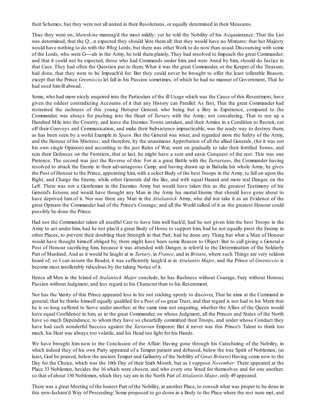their Schemes; but they were not all united in their Resolutions, or equally determined in their Measures.

Thus they went on, *Mareskine* mannag'd the most mildly; yet he told the Nobility of his Acquaintance: That the List was determined, that the Q....n expected they should Vote them all: that they would have no Mixtures: that her Majesty would have nothing to do with the *Whig* Lords, but there was other Work to do now than usual: Discoursing with some of the Lords, who were G----als in the Army, he told them plainly, They had resolved to Impeach the great Commander; and that it could not be expected, those who had Commands under him, and were Awed by him, should do Justice in that Case. They had often the Question put to them, What it was the great Commander, or the Keeper of the Treasure, had done, that they were to be Impeach'd for: But they could never be brought to offer the least tollerable Reason, except that the Prince *Greeniccio* let fall in his Passion sometimes, of which he had no manner of Government, That he had used himill abroad.

Some, who had more nicely enquired into the Particulars of the ill Usage which was the Cause of this Resentment, have given the oddest contradicting Accounts of it that any History can Parallel: As first, That the great Commander had restrained the rashness of this young Hotspur General, who being but a Boy in Experience, compared to the Commander, was always for pushing into the Heart of *Tartary* with the Army; not considering, That to run up a Hundred Mile into the Country, and leave the Enemies Towns untaken, and their Armies in a Condition to Recruit, cut off their Convoys and Communication, and make their Subsistence impracticable, was the ready way to destroy them, as has been seen by a woful Example in *Spain*. But the General was wiser, and regarded more the Safety of the Army, and the Honour of his Mistress; and therefore, by the unanimous Approbation of all the allied Generals, (for it was not his own single Opinion) and according to the just Rules of War, went on gradually to take their fortified Towns, and ruin their Defences on the Frontiers, that at last, he might have a sure and easie Conquest of the rest: This was one Pretence. The second was just the Reverse of this: For at a great Battle with the *Tartarians*, the Commander having resolved to attack the Enemy in their advantageous Camp, and having drawn up in Battalia his whole Army, he gives the Post of Honour to the Prince, appointing him, with a select Body of the best Troops in the Army, to fall on upon the Right, and Charge the Enemy, while other Generals did the like, and with equal Hazard and more real Danger, on the Left. There was not a Gentleman in the Enemies Army but would have taken this as the greatest Testimony of his General's Esteem, and would have thought any Man in the Army his mortal Enemy that should have gone about to have deprived him of it. Nor was there any Man in the *Attalantick* Army, who did not take it as an Evidence of the great Opinion the Commander had of the Prince's Courage; and all the World talked of it as the greatest Honour could possibly be done the Prince.

Had not the Commander taken all needful Care to have him well back'd, had he not given him the best Troops in the Army to act under him, had he not plac'd a great Body of Horse to support him, had he not equally prest the Enemy in other Places, to prevent their doubling their Strength in that Part; had he done any Thing but what a Man of Honour would have thought himself obliged by, there might have been some Reason to Object: But to call giving a General a Post of Honour sacrificing him, because it was attended with Danger, is referr'd to the Determination of the Soldierly Part of Mankind. And as it would be laught at in *Tartary*, in *France*, and in *Britain*, where such Things are very seldom heard of; so I can assure the Reader, it was sufficiently laugh'd at in *Attalantis Major*, and the Prince of *Greeniccio* is become most intollerably ridiculous by the taking Notice of it.

Hence all Men in the Island of *Atalantick Major* conclude, he has Rashness without Courage, Fury without Honour, Passion without Judgment, and less regard to his Character than to his Resentment.

Nor has the Vanity of this Prince appeared less in his not sticking openly to discover, That he aims at the Command in general; that he thinks himself equally qualified for a Post of so great Trust, and that regard is not had to his Merit that he is so long suffered to Serve under another; at the same time not enquiring, whether the Allies of the Queen would have equal Confidence in him, as in the great Commander, on whose Judgment, all the Princes and States of the North have so much Dependance, to whom they have so chearfully committed their Troops, and under whose Conduct they have had such wonderful Success against the *Tartarian* Emperor: But it never was this Prince's Talent to think too much, his Heat was always too volatile, and his Head too light for his Hands.

We have brought him now to the Conclusion of the Affair: Having gone through his Catechizing of the Nobility, in which indeed they of his own Party appeared of a Temper patient and debased, below the true Spirit of Noblemen; (at least, God be praised, below the ancient Temper and Gallantry of the Nobility of *Great Britain*) Having come now to the Day for the Choice, which was the 10th Day of their Sixth Month, but as I suppose *November*: There appeared at the Place 33 Noblemen, besides the 16 which were chosen, and who every one Voted for themselves and for one another; so that of about 130 Noblemen, which they say are in the North Part of *Attalantis Major*, only 49 appeared.

There was a great Meeting of the honest Part of the Nobility, at another Place, to consult what was proper to be done in this new-fashion'd Way of Proceeding: Some proposed to go down in a Body to the Place where the rest were met, and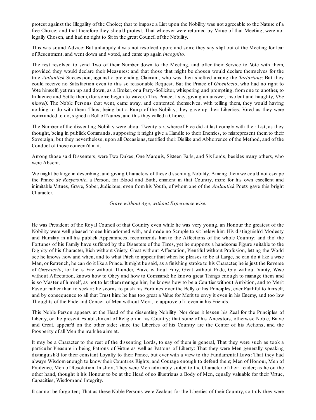protest against the Illegality of the Choice; that to impose a List upon the Nobility was not agreeable to the Nature of a free Choice; and that therefore they should protest, That whoever were returned by Virtue of that Meeting, were not legally Chosen, and had no right to Sit in the great Council of the Nobility.

This was sound Advice: But unhappily it was not resolved upon; and some they say slipt out of the Meeting for fear of Resentment, and went down and voted, and came up again *incognito*.

The rest resolved to send Two of their Number down to the Meeting, and offer their Service to Vote with them, provided they would declare their Measures: and that those that might be chosen would declare themselves for the true *Atalantick* Succession, against a pretending Claimant, who was then sheltred among the *Tartarians*: But they could receive no Satisfaction even to this so reasonable Request. But the Prince of *Greeniccio*, who had no right to Vote himself, yet run up and down, as a Broker, or a Party-Sollicitor, whispering and prompting, from one to another, to Influence and Settle them, (for some began to waver.) This Prince, I say, giving an answer, insolent and haughty, *like himself*. The Noble Persons that went, came away, and contented themselves, with telling them, they would having nothing to do with them. Thus, being but a Rump of the Nobility, they gave up their Liberties, Voted as they were commanded to do, signed a Roll of Names, and this they called a Choice.

The Number of the dissenting Nobility were about Twenty six, whereof Five did at last comply with their List, as they thought, being in publick Commands, supposing it might give a Handle to their Enemies, to misrepresent them to their Soveraign; but they nevertheless, upon all Occasions, testified their Dislike and Abhorrence of the Method, and of the Conduct of those concern'd in it.

Among those said Dissenters, were Two Dukes, One Marquis, Sixteen Earls, and Six Lords, besides many others, who were Absent.

We might be large in describing, and giving Characters of these dissenting Nobility. Among them we could not escape the Prince *de Rosymonte*, a Person, for Blood and Birth, eminent in that Country, more for his own excellent and inimitable Virtues, Grave, Sober, Judicious, even from his Youth, of whom one of the *Atalantick* Poets gave this bright Character.

#### *Grave without Age, without Experience wise.*

He was President of the Royal Council of that Country even while he was very young, an Honour the greatest of the Nobility were well pleased to see him adorned with, and made no Scruple to sit below him: His distinguish'd Modesty and Humility in all his publick Appearances, recommends him to the Affections of the whole Country; and tho' the Fortunes of his Family have suffered by the Disasters of the Times, yet he supports a handsome Figure suitable to the Dignity of his Character, Rich without Gaiety, Great without Affectation, Plentiful without Profusion, letting the World see he knows how and when, and to what Pitch to appear that when he pleases to be at Large, he can do it like a wise Man, or Retrench, he can do it like a Prince. It might be said, as a finishing stroke to his Character, he is just the Reverse of *Greeniccio*, for he is Fire without Thunder, Brave without Fury, Great without Pride, Gay without Vanity, Wise without Affectation, knows how to Obey and how to Command; he knows great Things enough to manage them, and is so Master of himself, as not to let them manage him; he knows how to be a Courtier without Ambition, and to Merit Favour rather than to seek it; he scorns to push his Fortunes over the Belly of his Principles, ever Faithful to himself, and by consequence to all that Trust him; he has too great a Value for Merit to envy it even in his Enemy, and too low Thoughts of the Pride and Conceit of Men without Merit, to approve of it even in his Friends.

This Noble Person appears at the Head of the dissenting Nobility: Nor does it lessen his Zeal for the Principles of Liberty, or the present Establishment of Religion in his Country; that some of his Ancestors, otherwise Noble, Brave and Great, appear'd on the other side; since the Liberties of his Country are the Center of his Actions, and the Prosperity of all Men the mark he aims at.

It may be a Character to the rest of the dissenting Lords, to say of them in general, That they were such as took a particular Pleasure in being Patrons of Virtue as well as Patrons of Liberty: That they were Men generally speaking distinguish'd for their constant Loyalty to their Prince, but ever with a view to the Fundamental Laws: That they had always Wisdom enough to know their Countries Rights, and Courage enough to defend them; Men of Honour, Men of Prudence, Men of Resolution: In short, They were Men admirably suited to the Character of their Leader; as he on the other hand, thought it his Honour to be at the Head of so illustrious a Body of Men, equally valuable for their Virtue, Capacities, Wisdomand Integrity.

It cannot be forgotten; That as these Noble Persons were Zealous for the Liberties of their Country, so truly they were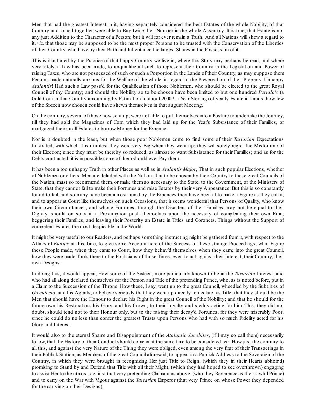Men that had the greatest Interest in it, having separately considered the best Estates of the whole Nobility, of that Country and joined together, were able to Buy twice their Number in the whole Assembly. It is true, that Estate is not any just Addition to the Character of a Person; but it will for ever remain a Truth; And all Nations will shew a regard to it, *viz.* that those may be supposed to be the most proper Persons to be trusted with the Conservation of the Liberties of their Country, who have by their Birth and Inheritance the largest Shares in the Possession of it.

This is illustrated by the Practice of that happy Country we live in, where this Story may perhaps be read, and where very lately, a Law has been made, to unquallifie all such to represent their Country in the Legislation and Power of raising Taxes, who are not possessed of such or such a Porportion in the Lands of their Country, as may suppose them Persons made naturally anxious for the Welfare of the whole, in regard to the Preservation of their Property. Unhappy *Atalantis*! Had such a Law pass'd for the Qualification of those Noblemen, who should be elected to the great Royal Council of thy Country; and should the Nobility so to be chosen have been limited to but one hundred *Perialo's* (a Gold Coin in that Country amounting by Estimation to about 2000 *l.* a Year Sterling) of yearly Estate in Lands, how few of the Sixteen now chosen could have shewn themselves in that august Meeting.

On the contrary, several of those now sent up, were not able to put themselves into a Posture to undertake the Journey, till they had sold the Magazines of Corn which they had laid up for the Year's Subsistance of their Families, or mortgaged their small Estates to borrow Money for the Expence.

Nor is it doubted in the least, but when those poor Noblemen come to find some of their *Tartarian* Expectations frustrated, with which it is manifest they were very Big when they went up; they will sorely regret the Misfortune of their Election; since they must be thereby so reduced, as almost to want Subsistance for their Families; and as for the Debts contracted, it is impossible some of themshould ever Pay them.

It has been a too unhappy Truth in other Places as well as in *Atalantis Major*, That in such popular Elections, whether of Noblemen or others, Men are deluded with the Notion, that to be chosen by their Country to these great Councils of the Nation, must so recommend them, or make them so necessary to the State, to the Government, or the Ministers of State, that they cannot fail to make their Fortunes and raise Estates by their very Appearance: But this is so constantly found to fail, and so many have been almost ruin'd by the Expences they have been at to make a Figure as they call it, and to appear at Court like themselves on such Occasions, that it seems wonderful that Persons of Quality, who know their own Circumstances, and whose Fortunes, through the Disasters of their Families, may not be equal to their Dignity, should on so vain a Presumption push themselves upon the necessity of compleating their own Ruin, beggering their Families, and leaving their Posterity an Estate in Titles and Coronets, Things without the Support of competent Estates the most despicable in the World.

It might be very useful to our Readers, and perhaps something instructing might be gathered fromit, with respect to the Affairs of *Europe* at this Time, to give some Account here of the Success of these strange Proceedings; what Figure these People made, when they came to Court, how they behav'd themselves when they came into the great Council, how they were made Tools there to the Politicians of those Times, even to act against their Interest, their Country, their own Designs.

In doing this, it would appear, How some of the Sixteen, more particularly known to be in the *Tartarian* Interest, and who had all along declared themselves for the Person and Title of the pretending Prince, who, as is noted before, put in a Claim to the Succession of the Throne: How these, I say, went up to the great Council, wheedled by the Subtilties of *Greeniccio*, and his Agents, to believe seriously that they went up directly to declare his Title; that they should be the Men that should have the Honour to declare his Right in the great Council of the Nobility; and that he should for the future own his Restoration, his Glory, and his Crown, to their Loyalty and steddy acting for him. This, they did not doubt, should tend not to their Honour only, but to the raising their decay'd Fortunes, for they were miserably Poor; since he could do no less than confer the greatest Trusts upon Persons who had with so much Fidelity acted for his Glory and Interest.

It would also to the eternal Shame and Disappointment of the *Atalantic Jacobites*, (if I may so call them) necessarily follow, that the History of their Conduct should come in at the same time to be considered, *viz.* How just the contrary to all this, and against the very Nature of the Thing they were obliged, even among the very first of their Transactings in their Publick Station, as Members of the great Council aforesaid, to appear in a Publick Address to the Soveraign of the Country, in which they were brought in recognizing Her just Title to Reign, (which they in their Hearts abhorr'd) promising to Stand by and Defend that Title with all their Might, (which they had hoped to see overthrown) engaging to assist Her to the utmost, against that very pretending Claimant as above, (who they Reverence as their lawful Prince) and to carry on the War with Vigour against the *Tartarian* Emperor (that very Prince on whose Power they depended for the carrying on their Designs).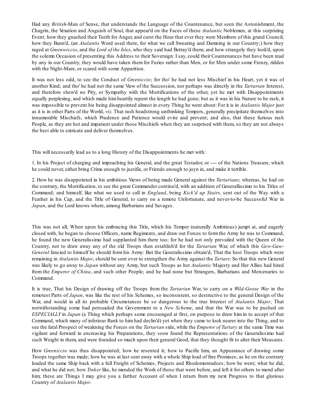Had any *British*-Man of Sense, that understands the Language of the Countenance, but seen the Astonishment, the Chagrin, the Vexation and Anguish of Soul, that appear'd on the Faces of these *Atalantic* Noblemen, at this surprizing Event; how they gnashed their Teeth for Anger, and curst the Hour that ever they were Members of this grand Council; how they Bann'd, (an *Atalantis* Word used there, for what we call Swearing and Damning in our Country;) how they raged at *Greenwiccio*, and the *Lord of the Isles*, who they said had Betray'd them; and how strangely they look'd, upon the solemn Occasion of presenting this Address to their Soveraign: I say, could their Countenances but have been read by any in our Country, they would have taken them for Furies rather than Men, or for Men under some Frenzy, ridden with the Night-Mare, or scared with some Apparition.

It was not less odd, to see the Conduct of *Greeniccio*; for tho' he had not less Mischief in his Heart, yet it was of another Kind; and tho' he had not the same View of the Succession, nor perhaps was directly in the *Tartarian* Interest, and therefore shew'd no Pity, or Sympathy with the Mortifications of the other, yet he met with Disappointments equally perplexing, and which made him heartily repent the length he had gone; but as it was in his Nature to be rash, it was impossible to prevent his being disappointed almost in every Thing he went about: For it is in *Atalantis Major* just as it is in other Parts of the World, *viz.* That rash headstrong unthinking Tempers, generally precipitate themselves into innumerable Mischiefs, which Prudence and Patience would evite and prevent; and also, that these furious rash People, as they are hot and impatient under those Mischiefs when they are surprised with them, so they are not always the best able to extricate and deliver themselves.

This will necessarily lead us to a long History of the Disappointments he met with:

1. In his Project of charging and impeaching his General, and the great Testador, or ---- of the Nations Treasure, which he could never, either bring Crime enough to justifie, or Friends enough to joyn in, and make it terrible.

2. How he was disappointed in his ambitious Views of being made General against the *Tartarians*; whereas, he had on the contrary, the Mortification, to see the great Commander continu'd, with an addition of Generallissimo to his Titles of Command; and himself, like what we used to call in *England*, being *Kick'd up Stairs*, sent out of the Way with a Feather in his Cap, and the Title of General, to carry on a remote Unfortunate, and never-to-be Successful War in *Japan*, and the Lord knows where, among Barbarians and Savages.

This was not all; When upon his embracing this Title, which his Temper (naturally Ambitious) jumpt at, and eagerly closed with, he began to choose Officers, name Regiments, and draw out Forces to formthe Army he was to Command, he found the new Generalissimo had supplanted him there too; for he had not only prevailed with the Queen of the Country, not to draw away any of the old Troops then establish'd for the *Tartarian* War, of which this *Gew-Gaw-General* fancied to himself he should form his Army: But the Generalissimo obtain'd, That the best Troops which were remaining in *Atalantis Major*, should be sent over to strengthen the Army against the *Tartars*: So that this new General was likely to go away to *Japan* without any Army, but such Troops as her *Atalantic* Majesty and Her Allies had hired from the *Emperor of China*, and such other People; and he had none but Strangers, Barbarians and Mercenaries to Command.

It is true, That his Design of drawing off the Troops from the *Tartarian* War, to carry on a *Wild-Goose War* in the remotest Parts of *Japan*, was like the rest of his Schemes, so inconsistent, so destructive to the general Design of the War, and would in all its probable Circumstances be so dangerous to the true Interest of *Atalantis Major*, That notwithstanding some had persuaded the Government to a *New Scheme*, and that the War was to be pushed on *ESPECIALLY* in *Japan* (a Thing which perhaps some encouraged at first, on purpose to draw him in to accept of that Command, which many of inferiour Rank to him had declin'd) yet when they came to look nearer into the Thing, and to see the fatal Prospect of weakning the Forces on the *Tartarian* side, while the *Emperor of Tartary* at the same Time was vigilant and forward in encreasing his Preparations, they soon found the Representations of the Generalissimo had such Weight in them, and were founded so much upon their general Good, that they thought fit to alter their Measures.

How *Greeniccio* was thus disappointed; how he resented it; how to Pacifie him, an Appearance of drawing some Troops together was made; how he was at last sent away with a whole Ship load of fine Promises; as he on the contrary loaded the same Ship back with a full Freight of Schemes, Projects and Rhodomontadoes; how he went; what he did, and what he did not; how *Tinker* like, he mended the Work of those that went before, and left it for others to mend after him; these are Things I may give you a farther Account of when I return from my next Progress to that glorious Country of *Atalantis Major*.